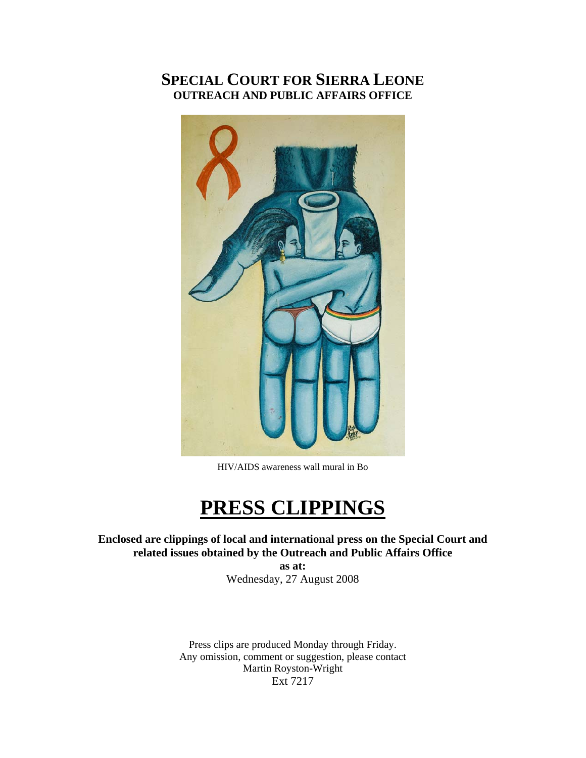#### **SPECIAL COURT FOR SIERRA LEONE OUTREACH AND PUBLIC AFFAIRS OFFICE**



HIV/AIDS awareness wall mural in Bo

## **PRESS CLIPPINGS**

**Enclosed are clippings of local and international press on the Special Court and related issues obtained by the Outreach and Public Affairs Office** 

**as at:**  Wednesday, 27 August 2008

Press clips are produced Monday through Friday. Any omission, comment or suggestion, please contact Martin Royston-Wright Ext 7217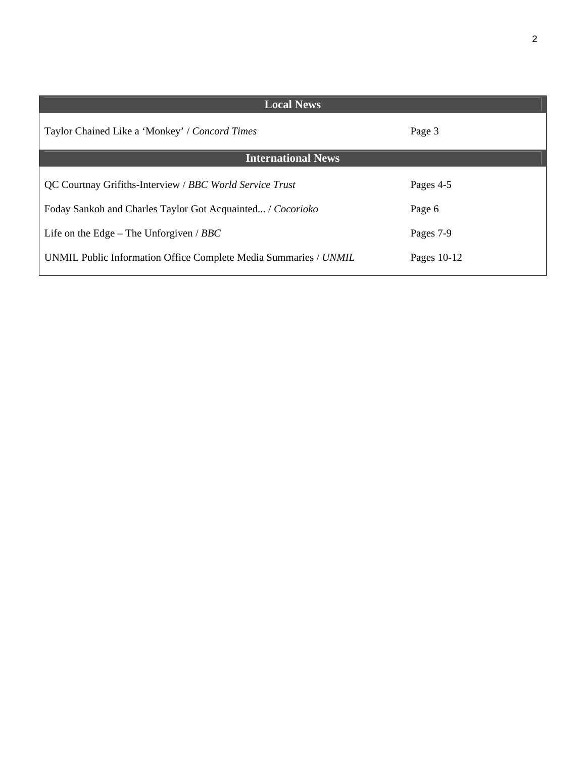| <b>Local News</b>                                                |             |
|------------------------------------------------------------------|-------------|
| Taylor Chained Like a 'Monkey' / Concord Times                   | Page 3      |
| <b>International News</b>                                        |             |
| QC Courtnay Grifiths-Interview / BBC World Service Trust         | Pages 4-5   |
| Foday Sankoh and Charles Taylor Got Acquainted / Cocorioko       | Page 6      |
| Life on the Edge – The Unforgiven / $BBC$                        | Pages 7-9   |
| UNMIL Public Information Office Complete Media Summaries / UNMIL | Pages 10-12 |
|                                                                  |             |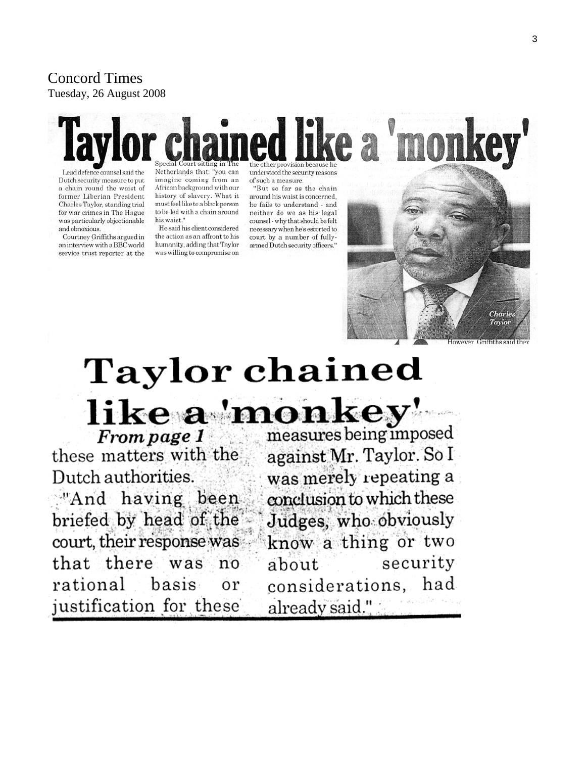## Concord Times

#### Tuesday, 26 August 2008

# Taylor chained like a 'monkey'

Lead defence counsel said the Dutch security measure to put a chain round the waist of former Liberian President Charles Taylor, standing trial for war crimes in The Hague was particularly objectionable and obnoxious

Courtney Griffiths argued in an interview with a BBC world service trust reporter at the Netherlands that: "you can imagine coming from an African background with our history of slavery. What it must feel like to a black person to be led with a chain around his waist.' He said his client considered

the action as an affront to his humanity, adding that Taylor was willing to compromise on

understood the security reasons of such a measure.

"But so far as the chain around his waist is concerned, he fails to understand - and neither do we as his legal counsel - why that should be felt necessary when he's escorted to court by a number of fullyarmed Dutch security officers.'



## **Taylor chained** like a 'monkey'

From page 1 these matters with the Dutch authorities. "And having been briefed by head of the court, their response was that there was  $n<sub>0</sub>$ rational basis  $\overline{or}$ justification for these

measures being imposed against Mr. Taylor. So I was merely repeating a conclusion to which these Judges, who obviously know a thing or two security about considerations, had already said."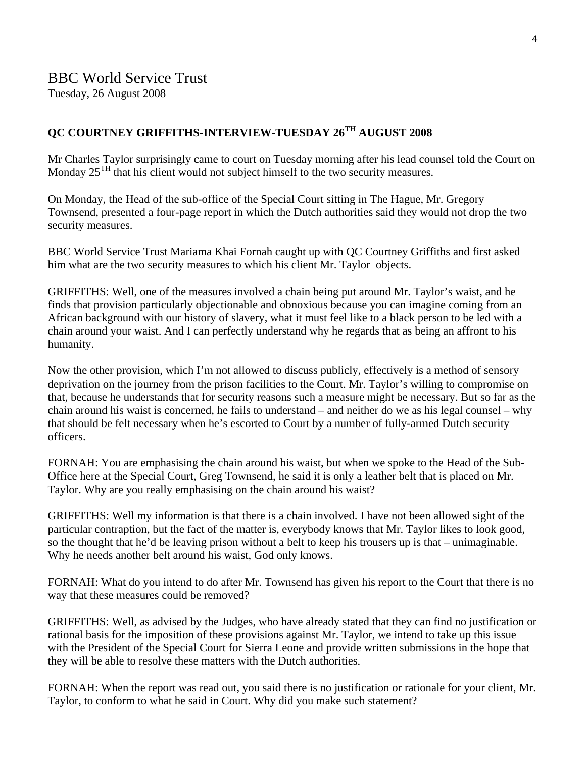Tuesday, 26 August 2008

#### **QC COURTNEY GRIFFITHS-INTERVIEW-TUESDAY 26TH AUGUST 2008**

Mr Charles Taylor surprisingly came to court on Tuesday morning after his lead counsel told the Court on Monday  $25^{TH}$  that his client would not subject himself to the two security measures.

On Monday, the Head of the sub-office of the Special Court sitting in The Hague, Mr. Gregory Townsend, presented a four-page report in which the Dutch authorities said they would not drop the two security measures.

BBC World Service Trust Mariama Khai Fornah caught up with QC Courtney Griffiths and first asked him what are the two security measures to which his client Mr. Taylor objects.

GRIFFITHS: Well, one of the measures involved a chain being put around Mr. Taylor's waist, and he finds that provision particularly objectionable and obnoxious because you can imagine coming from an African background with our history of slavery, what it must feel like to a black person to be led with a chain around your waist. And I can perfectly understand why he regards that as being an affront to his humanity.

Now the other provision, which I'm not allowed to discuss publicly, effectively is a method of sensory deprivation on the journey from the prison facilities to the Court. Mr. Taylor's willing to compromise on that, because he understands that for security reasons such a measure might be necessary. But so far as the chain around his waist is concerned, he fails to understand – and neither do we as his legal counsel – why that should be felt necessary when he's escorted to Court by a number of fully-armed Dutch security officers.

FORNAH: You are emphasising the chain around his waist, but when we spoke to the Head of the Sub-Office here at the Special Court, Greg Townsend, he said it is only a leather belt that is placed on Mr. Taylor. Why are you really emphasising on the chain around his waist?

GRIFFITHS: Well my information is that there is a chain involved. I have not been allowed sight of the particular contraption, but the fact of the matter is, everybody knows that Mr. Taylor likes to look good, so the thought that he'd be leaving prison without a belt to keep his trousers up is that – unimaginable. Why he needs another belt around his waist, God only knows.

FORNAH: What do you intend to do after Mr. Townsend has given his report to the Court that there is no way that these measures could be removed?

GRIFFITHS: Well, as advised by the Judges, who have already stated that they can find no justification or rational basis for the imposition of these provisions against Mr. Taylor, we intend to take up this issue with the President of the Special Court for Sierra Leone and provide written submissions in the hope that they will be able to resolve these matters with the Dutch authorities.

FORNAH: When the report was read out, you said there is no justification or rationale for your client, Mr. Taylor, to conform to what he said in Court. Why did you make such statement?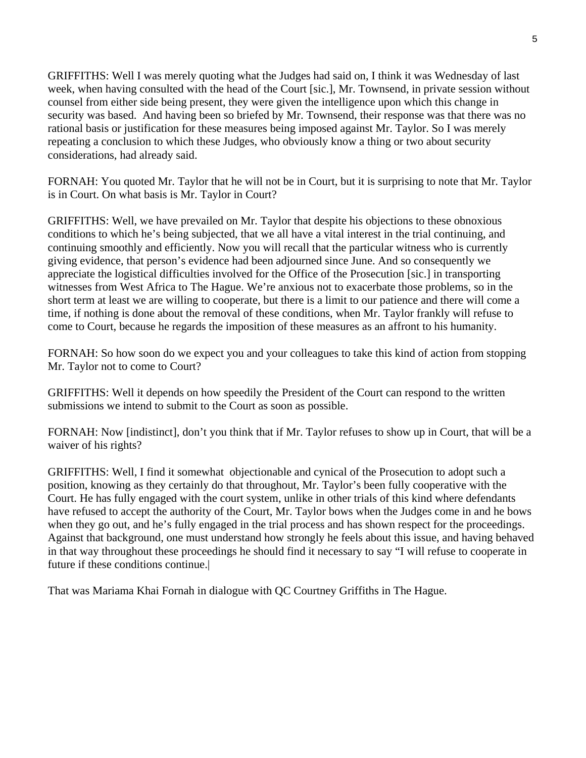GRIFFITHS: Well I was merely quoting what the Judges had said on, I think it was Wednesday of last week, when having consulted with the head of the Court [sic.], Mr. Townsend, in private session without counsel from either side being present, they were given the intelligence upon which this change in security was based. And having been so briefed by Mr. Townsend, their response was that there was no rational basis or justification for these measures being imposed against Mr. Taylor. So I was merely repeating a conclusion to which these Judges, who obviously know a thing or two about security considerations, had already said.

FORNAH: You quoted Mr. Taylor that he will not be in Court, but it is surprising to note that Mr. Taylor is in Court. On what basis is Mr. Taylor in Court?

GRIFFITHS: Well, we have prevailed on Mr. Taylor that despite his objections to these obnoxious conditions to which he's being subjected, that we all have a vital interest in the trial continuing, and continuing smoothly and efficiently. Now you will recall that the particular witness who is currently giving evidence, that person's evidence had been adjourned since June. And so consequently we appreciate the logistical difficulties involved for the Office of the Prosecution [sic.] in transporting witnesses from West Africa to The Hague. We're anxious not to exacerbate those problems, so in the short term at least we are willing to cooperate, but there is a limit to our patience and there will come a time, if nothing is done about the removal of these conditions, when Mr. Taylor frankly will refuse to come to Court, because he regards the imposition of these measures as an affront to his humanity.

FORNAH: So how soon do we expect you and your colleagues to take this kind of action from stopping Mr. Taylor not to come to Court?

GRIFFITHS: Well it depends on how speedily the President of the Court can respond to the written submissions we intend to submit to the Court as soon as possible.

FORNAH: Now [indistinct], don't you think that if Mr. Taylor refuses to show up in Court, that will be a waiver of his rights?

GRIFFITHS: Well, I find it somewhat objectionable and cynical of the Prosecution to adopt such a position, knowing as they certainly do that throughout, Mr. Taylor's been fully cooperative with the Court. He has fully engaged with the court system, unlike in other trials of this kind where defendants have refused to accept the authority of the Court, Mr. Taylor bows when the Judges come in and he bows when they go out, and he's fully engaged in the trial process and has shown respect for the proceedings. Against that background, one must understand how strongly he feels about this issue, and having behaved in that way throughout these proceedings he should find it necessary to say "I will refuse to cooperate in future if these conditions continue.|

That was Mariama Khai Fornah in dialogue with QC Courtney Griffiths in The Hague.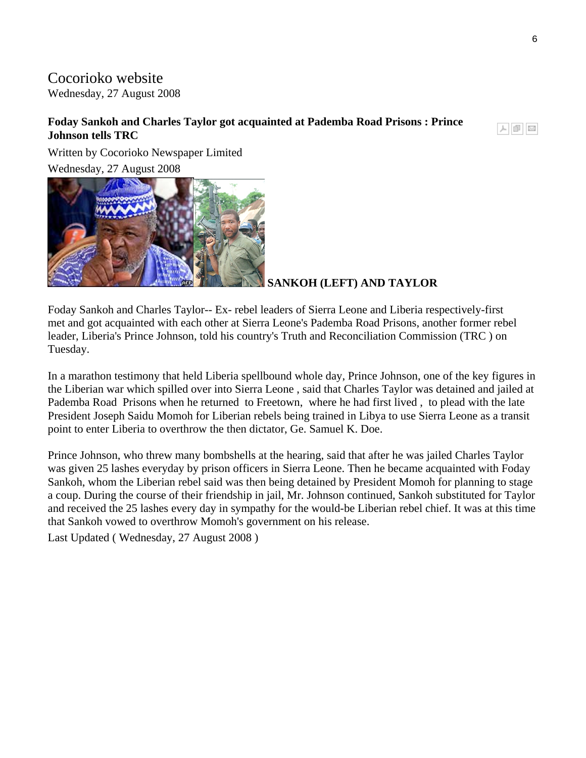#### Cocorioko website Wednesday, 27 August 2008

#### **Foday Sankoh and Charles Taylor got acquainted at Pademba Road Prisons : Prince Johnson tells TRC**

Written by Cocorioko Newspaper Limited Wednesday, 27 August 2008



**SANKOH (LEFT) AND TAYLOR**

Foday Sankoh and Charles Taylor-- Ex- rebel leaders of Sierra Leone and Liberia respectively-first met and got acquainted with each other at Sierra Leone's Pademba Road Prisons, another former rebel leader, Liberia's Prince Johnson, told his country's Truth and Reconciliation Commission (TRC ) on Tuesday.

In a marathon testimony that held Liberia spellbound whole day, Prince Johnson, one of the key figures in the Liberian war which spilled over into Sierra Leone , said that Charles Taylor was detained and jailed at Pademba Road Prisons when he returned to Freetown, where he had first lived , to plead with the late President Joseph Saidu Momoh for Liberian rebels being trained in Libya to use Sierra Leone as a transit point to enter Liberia to overthrow the then dictator, Ge. Samuel K. Doe.

Prince Johnson, who threw many bombshells at the hearing, said that after he was jailed Charles Taylor was given 25 lashes everyday by prison officers in Sierra Leone. Then he became acquainted with Foday Sankoh, whom the Liberian rebel said was then being detained by President Momoh for planning to stage a coup. During the course of their friendship in jail, Mr. Johnson continued, Sankoh substituted for Taylor and received the 25 lashes every day in sympathy for the would-be Liberian rebel chief. It was at this time that Sankoh vowed to overthrow Momoh's government on his release.

Last Updated ( Wednesday, 27 August 2008 )

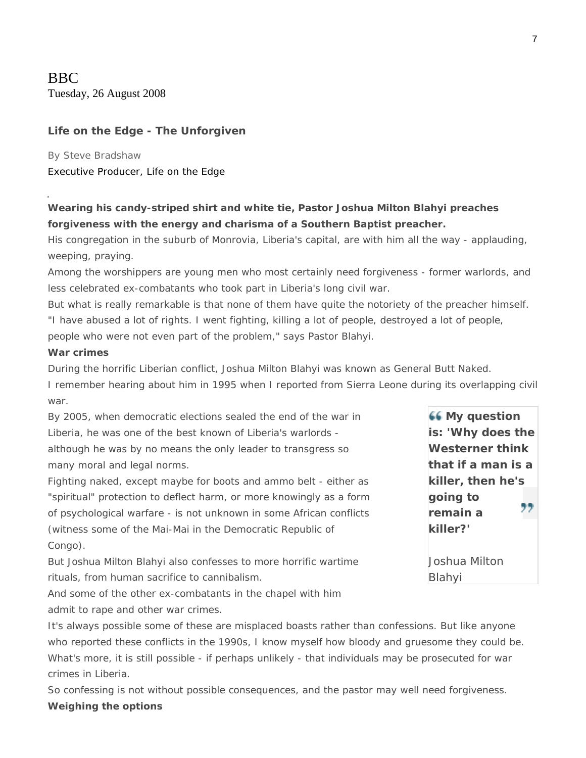#### BBC

Tuesday, 26 August 2008

#### **Life on the Edge - The Unforgiven**

By Steve Bradshaw Executive Producer, Life on the Edge

#### **Wearing his candy-striped shirt and white tie, Pastor Joshua Milton Blahyi preaches forgiveness with the energy and charisma of a Southern Baptist preacher.**

His congregation in the suburb of Monrovia, Liberia's capital, are with him all the way - applauding, weeping, praying.

Among the worshippers are young men who most certainly need forgiveness - former warlords, and less celebrated ex-combatants who took part in Liberia's long civil war.

But what is really remarkable is that none of them have quite the notoriety of the preacher himself.

"I have abused a lot of rights. I went fighting, killing a lot of people, destroyed a lot of people,

people who were not even part of the problem," says Pastor Blahyi.

#### **War crimes**

During the horrific Liberian conflict, Joshua Milton Blahyi was known as General Butt Naked.

I remember hearing about him in 1995 when I reported from Sierra Leone during its overlapping civil war.

By 2005, when democratic elections sealed the end of the war in Liberia, he was one of the best known of Liberia's warlords although he was by no means the only leader to transgress so many moral and legal norms.

Fighting naked, except maybe for boots and ammo belt - either as "spiritual" protection to deflect harm, or more knowingly as a form of psychological warfare - is not unknown in some African conflicts (witness some of the Mai-Mai in the Democratic Republic of Congo).

But Joshua Milton Blahyi also confesses to more horrific wartime rituals, from human sacrifice to cannibalism.

**My question is: 'Why does the Westerner think that if a man is a killer, then he's going to**  ,, **remain a killer?'** Joshua Milton Blahyi

And some of the other ex-combatants in the chapel with him admit to rape and other war crimes.

It's always possible some of these are misplaced boasts rather than confessions. But like anyone who reported these conflicts in the 1990s, I know myself how bloody and gruesome they could be. What's more, it is still possible - if perhaps unlikely - that individuals may be prosecuted for war crimes in Liberia.

So confessing is not without possible consequences, and the pastor may well need forgiveness. **Weighing the options**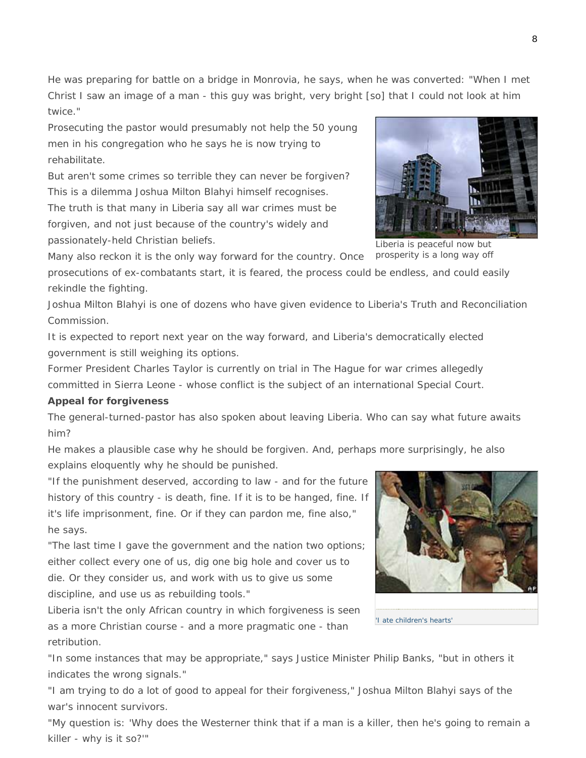He was preparing for battle on a bridge in Monrovia, he says, when he was converted: "When I met Christ I saw an image of a man - this guy was bright, very bright [so] that I could not look at him twice."

Prosecuting the pastor would presumably not help the 50 young men in his congregation who he says he is now trying to rehabilitate.

But aren't some crimes so terrible they can never be forgiven? This is a dilemma Joshua Milton Blahyi himself recognises.

The truth is that many in Liberia say all war crimes must be forgiven, and not just because of the country's widely and passionately-held Christian beliefs.

Many also reckon it is the only way forward for the country. Once prosecutions of ex-combatants start, it is feared, the process could be endless, and could easily rekindle the fighting.

Joshua Milton Blahyi is one of dozens who have given evidence to Liberia's Truth and Reconciliation Commission.

It is expected to report next year on the way forward, and Liberia's democratically elected government is still weighing its options.

Former President Charles Taylor is currently on trial in The Hague for war crimes allegedly committed in Sierra Leone - whose conflict is the subject of an international Special Court.

#### **Appeal for forgiveness**

The general-turned-pastor has also spoken about leaving Liberia. Who can say what future awaits him?

He makes a plausible case why he should be forgiven. And, perhaps more surprisingly, he also explains eloquently why he should be punished.

"If the punishment deserved, according to law - and for the future history of this country - is death, fine. If it is to be hanged, fine. If it's life imprisonment, fine. Or if they can pardon me, fine also," he says.

"The last time I gave the government and the nation two options; either collect every one of us, dig one big hole and cover us to die. Or they consider us, and work with us to give us some discipline, and use us as rebuilding tools."

Liberia isn't the only African country in which forgiveness is seen as a more Christian course - and a more pragmatic one - than retribution.

"In some instances that may be appropriate," says Justice Minister Philip Banks, "but in others it indicates the wrong signals."

"I am trying to do a lot of good to appeal for their forgiveness," Joshua Milton Blahyi says of the war's innocent survivors.

"My question is: 'Why does the Westerner think that if a man is a killer, then he's going to remain a killer - why is it so?'"

Liberia is peaceful now but prosperity is a long way off



['I ate children's hearts'](http://news.bbc.co.uk/2/hi/africa/7200101.stm)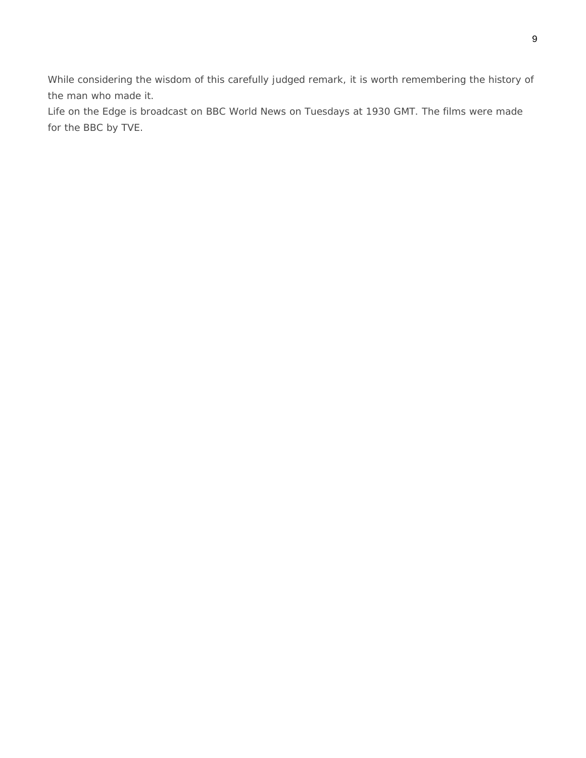While considering the wisdom of this carefully judged remark, it is worth remembering the history of the man who made it.

*Life on the Edge is broadcast on BBC World News on Tuesdays at 1930 GMT. The films were made for the BBC by TVE.*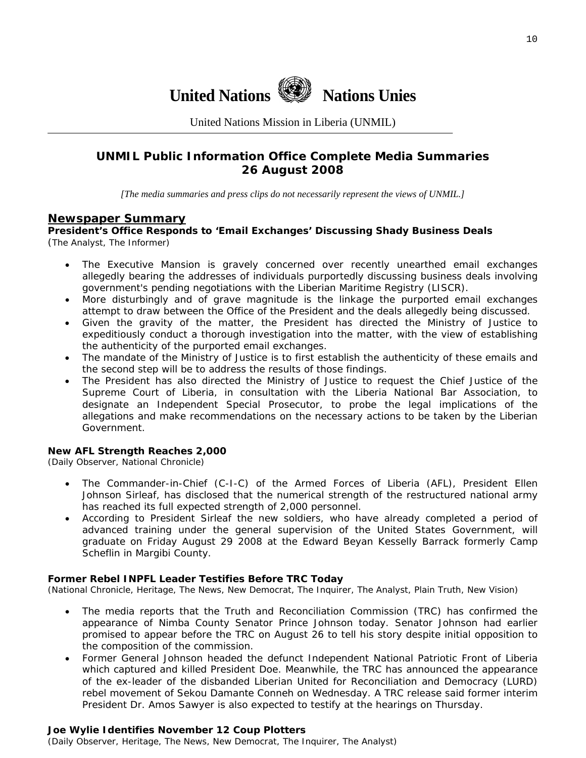

United Nations Mission in Liberia (UNMIL)

#### **UNMIL Public Information Office Complete Media Summaries 26 August 2008**

*[The media summaries and press clips do not necessarily represent the views of UNMIL.]* 

#### **Newspaper Summary**

**President's Office Responds to 'Email Exchanges' Discussing Shady Business Deals**  (The Analyst, The Informer)

- The Executive Mansion is gravely concerned over recently unearthed email exchanges allegedly bearing the addresses of individuals purportedly discussing business deals involving government's pending negotiations with the Liberian Maritime Registry (LISCR).
- More disturbingly and of grave magnitude is the linkage the purported email exchanges attempt to draw between the Office of the President and the deals allegedly being discussed.
- Given the gravity of the matter, the President has directed the Ministry of Justice to expeditiously conduct a thorough investigation into the matter, with the view of establishing the authenticity of the purported email exchanges.
- The mandate of the Ministry of Justice is to first establish the authenticity of these emails and the second step will be to address the results of those findings.
- The President has also directed the Ministry of Justice to request the Chief Justice of the Supreme Court of Liberia, in consultation with the Liberia National Bar Association, to designate an Independent Special Prosecutor, to probe the legal implications of the allegations and make recommendations on the necessary actions to be taken by the Liberian Government.

#### **New AFL Strength Reaches 2,000**

(Daily Observer, National Chronicle)

- The Commander-in-Chief (C-I-C) of the Armed Forces of Liberia (AFL), President Ellen Johnson Sirleaf, has disclosed that the numerical strength of the restructured national army has reached its full expected strength of 2,000 personnel.
- According to President Sirleaf the new soldiers, who have already completed a period of advanced training under the general supervision of the United States Government, will graduate on Friday August 29 2008 at the Edward Beyan Kesselly Barrack formerly Camp Scheflin in Margibi County.

#### **Former Rebel INPFL Leader Testifies Before TRC Today**

(National Chronicle, Heritage, The News, New Democrat, The Inquirer, The Analyst, Plain Truth, New Vision)

- The media reports that the Truth and Reconciliation Commission (TRC) has confirmed the appearance of Nimba County Senator Prince Johnson today. Senator Johnson had earlier promised to appear before the TRC on August 26 to tell his story despite initial opposition to the composition of the commission.
- Former General Johnson headed the defunct Independent National Patriotic Front of Liberia which captured and killed President Doe. Meanwhile, the TRC has announced the appearance of the ex-leader of the disbanded Liberian United for Reconciliation and Democracy (LURD) rebel movement of Sekou Damante Conneh on Wednesday. A TRC release said former interim President Dr. Amos Sawyer is also expected to testify at the hearings on Thursday.

#### **Joe Wylie Identifies November 12 Coup Plotters**

(Daily Observer, Heritage, The News, New Democrat, The Inquirer, The Analyst)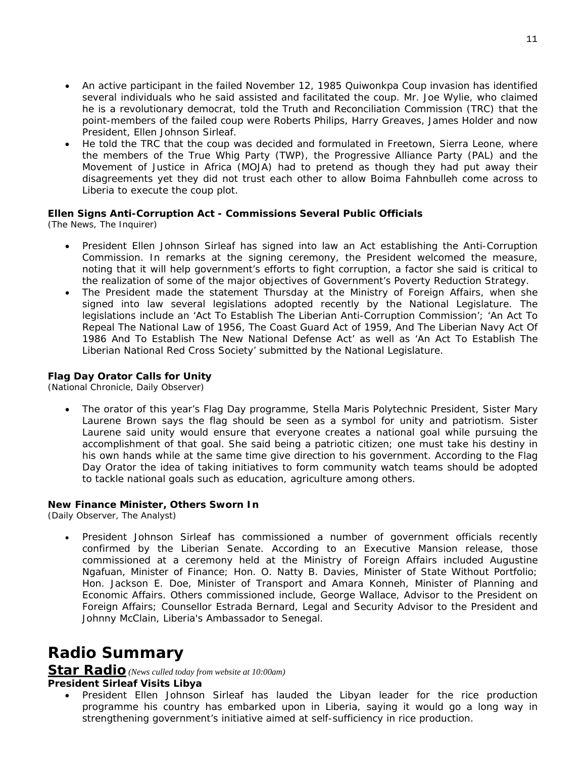- An active participant in the failed November 12, 1985 Quiwonkpa Coup invasion has identified several individuals who he said assisted and facilitated the coup. Mr. Joe Wylie, who claimed he is a revolutionary democrat, told the Truth and Reconciliation Commission (TRC) that the point-members of the failed coup were Roberts Philips, Harry Greaves, James Holder and now President, Ellen Johnson Sirleaf.
- He told the TRC that the coup was decided and formulated in Freetown, Sierra Leone, where the members of the True Whig Party (TWP), the Progressive Alliance Party (PAL) and the Movement of Justice in Africa (MOJA) had to pretend as though they had put away their disagreements yet they did not trust each other to allow Boima Fahnbulleh come across to Liberia to execute the coup plot.

#### **Ellen Signs Anti-Corruption Act - Commissions Several Public Officials**

(The News, The Inquirer)

- President Ellen Johnson Sirleaf has signed into law an Act establishing the Anti-Corruption Commission. In remarks at the signing ceremony, the President welcomed the measure, noting that it will help government's efforts to fight corruption, a factor she said is critical to the realization of some of the major objectives of Government's Poverty Reduction Strategy.
- The President made the statement Thursday at the Ministry of Foreign Affairs, when she signed into law several legislations adopted recently by the National Legislature. The legislations include an 'Act To Establish The Liberian Anti-Corruption Commission'; 'An Act To Repeal The National Law of 1956, The Coast Guard Act of 1959, And The Liberian Navy Act Of 1986 And To Establish The New National Defense Act' as well as 'An Act To Establish The Liberian National Red Cross Society' submitted by the National Legislature.

#### **Flag Day Orator Calls for Unity**

(National Chronicle, Daily Observer)

• The orator of this year's Flag Day programme, Stella Maris Polytechnic President, Sister Mary Laurene Brown says the flag should be seen as a symbol for unity and patriotism. Sister Laurene said unity would ensure that everyone creates a national goal while pursuing the accomplishment of that goal. She said being a patriotic citizen; one must take his destiny in his own hands while at the same time give direction to his government. According to the Flag Day Orator the idea of taking initiatives to form community watch teams should be adopted to tackle national goals such as education, agriculture among others.

#### **New Finance Minister, Others Sworn In**

(Daily Observer, The Analyst)

• President Johnson Sirleaf has commissioned a number of government officials recently confirmed by the Liberian Senate. According to an Executive Mansion release, those commissioned at a ceremony held at the Ministry of Foreign Affairs included Augustine Ngafuan, Minister of Finance; Hon. O. Natty B. Davies, Minister of State Without Portfolio; Hon. Jackson E. Doe, Minister of Transport and Amara Konneh, Minister of Planning and Economic Affairs. Others commissioned include, George Wallace, Advisor to the President on Foreign Affairs; Counsellor Estrada Bernard, Legal and Security Advisor to the President and Johnny McClain, Liberia's Ambassador to Senegal.

### **Radio Summary**

#### **Star Radio** *(News culled today from website at 10:00am)*

#### **President Sirleaf Visits Libya**

• President Ellen Johnson Sirleaf has lauded the Libyan leader for the rice production programme his country has embarked upon in Liberia, saying it would go a long way in strengthening government's initiative aimed at self-sufficiency in rice production.